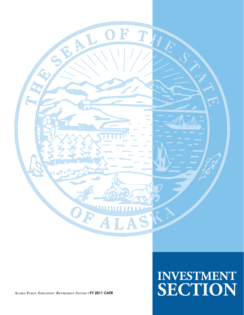

**ALASKA PUBLIC EMPLOYEES' RETIREMENT SYSTEM** • **FY 2011 CAFR**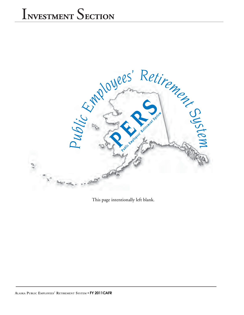

This page intentionally left blank.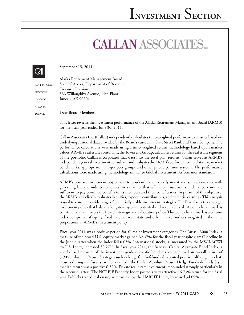## **CALLAN ASSOCIATES**



September 15, 2011

|                 | Alaska Retirement Management Board     |
|-----------------|----------------------------------------|
| SAN FRANCISCO   | State of Alaska, Department of Revenue |
|                 | <b>Treasury Division</b>               |
| <b>NEW YORK</b> | 333 Willoughby Avenue, 11th Floor      |
| <b>CHICAGO</b>  | Juneau, AK 99801                       |
| <b>ATLANTA</b>  |                                        |
| <b>DENVER</b>   | Dear Board Members:                    |
|                 |                                        |

This letter reviews the investment performance of the Alaska Retirement Management Board (ARMB) for the fiscal year ended June 30, 2011.

Callan Associates Inc. (Callan) independently calculates time-weighted performance statistics based on underlying custodial data provided by the Board's custodian, State Street Bank and Trust Company. The performance calculations were made using a time-weighted return methodology based upon market values. ARMB's real estate consultant, the Townsend Group, calculates returns for the real estate segment of the portfolio. Callan incorporates that data into the total plan returns. Callan serves as ARMB's independent general investment consultant and evaluates the ARMB's performance in relation to market benchmarks, appropriate manager peer groups and other public pension systems. The performance calculations were made using methodology similar to Global Investment Performance standards.

ARMB's primary investment objective is to prudently and expertly invest assets, in accordance with governing law and industry practices, in a manner that will help ensure assets under supervision are sufficient to pay promised benefits to its members and their beneficiaries. In pursuit of this objective, the ARMB periodically evaluates liabilities, expected contributions, and potential earnings. This analysis is used to consider a wide range of potentially viable investment strategies. The Board selects a strategic investment policy that balances long-term growth potential and acceptable risk. A policy benchmark is constructed that mirrors the Board's strategic asset allocation policy. This policy benchmark is a custom index comprised of equity, fixed income, real estate and other market indices weighted in the same proportions as ARMB's investment policy.

Fiscal year 2011 was a positive period for all major investment categories. The Russell 3000 Index, a measure of the broad U.S. equity market gained 32.37% for the fiscal year despite a small decline in the June quarter when the index fell 0.03%. International stocks, as measured by the MSCI-ACWI ex-U.S. Index, increased 30.27%. In fiscal year 2011, the Barclays Capital Aggregate Bond Index, a widely used measure of the investment grade domestic bond market, achieved an overall return of 3.90%. Absolute Return Strategies such as hedge fund-of-funds also posted positive, although modest, returns during the fiscal year. For example, the Callan Absolute Return Hedge Fund-of-Funds Style median return was a positive 6.32%. Private real estate investments rebounded strongly particularly in the recent quarters. The NCREIF Property Index posted a very attractive 16.73% return for the fiscal year. Publicly traded real estate, as measured by the NAREIT Index, increased 34.09%.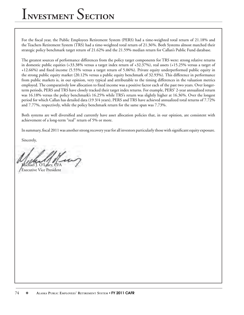For the fiscal year, the Public Employees Retirement System (PERS) had a time-weighted total return of 21.18% and the Teachers Retirement System (TRS) had a time-weighted total return of 21.36%. Both Systems almost matched their strategic policy benchmark target return of 21.62% and the 21.59% median return for Callan's Public Fund database.

The greatest sources of performance differences from the policy target components for TRS were: strong relative returns in domestic public equities (+33.38% versus a target index return of +32.37%), real assets (+15.25% versus a target of +12.66%) and fixed income (5.55% versus a target return of 5.06%). Private equity underperformed public equity in the strong public equity market (20.12% versus a public equity benchmark of 32.93%). This difference in performance from public markets is, in our opinion, very typical and attributable to the timing differences in the valuation metrics employed. The comparatively low allocation to fixed income was a positive factor each of the past two years. Over longerterm periods, PERS and TRS have closely tracked their target index returns. For example, PERS' 2-year annualized return was 16.18% versus the policy benchmark's 16.25% while TRS's return was slightly higher at 16.36%. Over the longest period for which Callan has detailed data (19 3/4 years), PERS and TRS have achieved annualized total returns of 7.72% and 7.77%, respectively, while the policy benchmark return for the same span was 7.73%.

Both systems are well diversified and currently have asset allocation policies that, in our opinion, are consistent with achievement of a long-term "real" return of 5% or more.

In summary, fiscal 2011 was another strong recovery year for all investors particularly those with significant equity exposure.

Sincerely,

O'Leary, CFA

Executive Vice President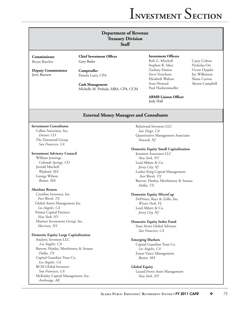## **Department of Revenue Treasury Division**

**Staff**

**Commissioner** Bryan Butcher

**Deputy Commissioner** Jerry Burnett

**Chief Investment Officer** Gary Bader

**Comptroller** Pamela Leary, CPA

**Cash Management** Michelle M. Prebula, MBA, CPA, CCM

#### **Investment Officers**

Bob G. Mitchell Casey Colton Stephen R. Sikes Nicholas Orr Zachary Hanna Victor Djajalie Steve Verschoor Joy Wilkinson Elizabeth Walton Shane Carson<br>Sean Howard Alvson Campl Paul Hackenmueller

Alyson Campbell

**ARMB** Liaison Officer Judy Hall

### **External Money Managers and Consultants**

#### **Investment Consultants**

 Callan Associates, Inc. *Denver, CO* The Townsend Group *San Francisco, CA*

#### **Investment Advisory Council**

 William Jennings *Colorado Springs, CO* Jerrold Mitchell *Wayland, MA* George Wilson *Boston, MA*

#### **Absolute Return**

 Crestline Investors, Inc.  *Fort Worth, TX* Global Assets Management Inc. *Los Angeles, CA* Prisma Capital Partners  *New York, NY* Mariner Investment Group, Inc. *Harrison, NY*

#### **Domestic Equity Large Capitalization**

 Analytic Investors LLC *Los Angeles, CA* Barrow, Hanley, Mewhinney & Strauss *Dallas, TX* Capital Guardian Trust Co. *Los Angeles, CA* RCM Global Investors *San Francisco, CA* McKinley Capital Management, Inc. *Anchorage, AK*

#### Relational Investors LLC *San Diego, CA* Quantitative Management Associates *Newark, NJ*

#### **Domestic Equity Small Capitalization**

 Jennison Associates LLC *New York, NY* Lord Abbett & Co. *Jersey City, NJ* Luther King Capital Management  *Fort Worth, TX* Barrow, Hanley, Mewhinney & Strauss *Dallas, TX*

#### **Domestic Equity MicroCap**

 DePrince, Race & Zollo, Inc. *Winter Park, FL* Lord Abbett & Co. *Jersey City, NJ*

#### **Domestic Equity Index Fund**

 State Street Global Advisors *San Francisco, CA*

#### **Emerging Markets**

 Capital Guardian Trust Co. *Los Angeles, CA* Eaton Vance Management *Boston, MA*

#### **Global Equity** Lazard Freres Asset Management *New York, NY*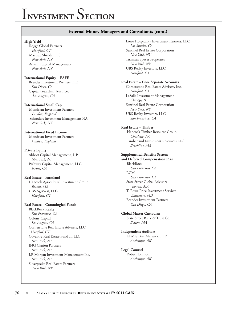### **External Money Managers and Consultants (cont.)**

#### **High Yield**

 Rogge Global Partners  *Hartford, CT* MacKay Shields LLC  *New York, NY* Advent Capital Management  *New York, NY*

#### **International Equity – EAFE**

 Brandes Investment Partners, L.P. *San Diego, CA* Capital Guardian Trust Co. *Los Angeles, CA*

#### **International Small Cap**

 Mondrian Investment Partners  *London, England* Schroders Investment Management NA  *New York, NY*

**International Fixed Income** Mondrian Investment Partners *London, England*

#### **Private Equity**

 Abbott Capital Management, L.P. *New York, NY* Pathway Capital Management, LLC *Irvine, CA*

### **Real Estate – Farmland** Hancock Agricultural Investment Group

 *Boston, MA* UBS AgriVest, LLC *Hartford, CT*

#### **Real Estate – Commingled Funds**

 BlackRock Realty *San Francisco, CA* Colony Capital *Los Angeles, CA* Cornerstone Real Estate Advisers, LLC *Hartford, CT* Coventry Real Estate Fund II, LLC *New York, NY* ING Clarion Partners *New York, NY* J.P. Morgan Investment Management Inc. *New York, NY* Silverpeake Real Estate Partners  *New York, NY*

 Lowe Hospitality Investment Partners, LLC *Los Angeles, CA* Sentinel Real Estate Corporation *New York, NY* Tishman Speyer Properties *New York, NY* UBS Realty Investors, LLC *Hartford, CT*

#### **Real Estate – Core Separate Accounts**

 Cornerstone Real Estate Advisers, Inc. *Hartford, CT* LaSalle Investment Management *Chicago, IL* Sentinel Real Estate Corporation *New York, NY* UBS Realty Investors, LLC *San Francisco, CA*

#### **Real Estate – Timber**

 Hancock Timber Resource Group  *Charlotte, NC* Timberland Investment Resources LLC  *Brookline, MA*

#### **Supplemental Benefits System**

**and Deferred Compensation Plan** BlackRock *San Francisco, CA* RCM *San Francisco, CA* State Street Global Advisors *Boston, MA* T. Rowe Price Investment Services *Baltimore, MD* Brandes Investment Partners *San Diego, CA*

**Global Master Custodian** State Street Bank & Trust Co. *Boston, MA*

**Independent Auditors** KPMG Peat Marwick, LLP *Anchorage, AK*

**Legal Counsel** Robert Johnson *Anchorage, AK*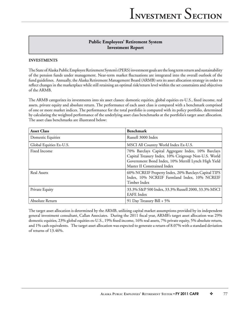## **Public Employees' Retirement System Investment Report**

### **INVESTMENTS**

The State of Alaska Public Employee Retirement System's (PERS) investment goals are the long term return and sustainability of the pension funds under management. Near-term market fl uctuations are integrated into the overall outlook of the fund guidelines. Annually, the Alaska Retirement Management Board (ARMB) sets its asset allocation strategy in order to reflect changes in the marketplace while still retaining an optimal risk/return level within the set constraints and objectives of the ARMB.

The ARMB categorizes its investments into six asset classes: domestic equities, global equities ex-U.S., fixed income, real assets, private equity and absolute return. The performance of each asset class is compared with a benchmark comprised of one or more market indices. The performance for the total portfolio is compared with its policy portfolio, determined by calculating the weighted performance of the underlying asset class benchmarks at the portfolio's target asset allocation. The asset class benchmarks are illustrated below:

| <b>Asset Class</b>      | <b>Benchmark</b>                                                                                                                                                                                 |
|-------------------------|--------------------------------------------------------------------------------------------------------------------------------------------------------------------------------------------------|
| Domestic Equities       | Russell 3000 Index                                                                                                                                                                               |
| Global Equities Ex-U.S. | MSCI All Country World Index Ex-U.S.                                                                                                                                                             |
| Fixed Income            | 70% Barclays Capital Aggregate Index, 10% Barclays<br>Capital Treasury Index, 10% Citigroup Non-U.S. World<br>Government Bond Index, 10% Merrill Lynch High Yield<br>Master II Constrained Index |
| <b>Real Assets</b>      | 60% NCREIF Property Index, 20% Barclays Capital TIPS<br>Index, 10% NCREIF Farmland Index, 10% NCREIF<br>Timber Index                                                                             |
| Private Equity          | 33.3% S&P 500 Index, 33.3% Russell 2000, 33.3% MSCI<br><b>EAFE</b> Index                                                                                                                         |
| Absolute Return         | 91 Day Treasury Bill + 5%                                                                                                                                                                        |

The target asset allocation is determined by the ARMB, utilizing capital market assumptions provided by its independent general investment consultant, Callan Associates. During the 2011 fiscal year, ARMB's target asset allocation was 29% domestic equities, 23% global equities ex-U.S., 19% fixed income, 16% real assets, 7% private equity, 5% absolute return, and 1% cash equivalents. The target asset allocation was expected to generate a return of 8.07% with a standard deviation of returns of 13.46%.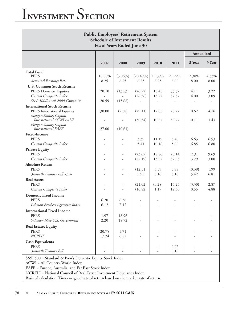| <b>Public Employees' Retirement System</b><br><b>Schedule of Investment Results</b><br><b>Fiscal Years Ended June 30</b>                          |                |                    |                     |                         |                |                |               |
|---------------------------------------------------------------------------------------------------------------------------------------------------|----------------|--------------------|---------------------|-------------------------|----------------|----------------|---------------|
|                                                                                                                                                   |                |                    |                     |                         |                | Annualized     |               |
|                                                                                                                                                   | 2007           | 2008               | 2009                | 2010                    | 2011           | 3 Year         | 5 Year        |
| <b>Total Fund</b><br><b>PERS</b><br>Actuarial Earnings Rate<br><b>U.S. Common Stock Returns</b>                                                   | 18.88%<br>8.25 | $(3.06\%)$<br>8.25 | $(20.49\%)$<br>8.25 | 11.39%<br>8.25          | 21.22%<br>8.00 | 2.38%<br>8.00  | 4.33%<br>8.00 |
| PERS Domestic Equities<br>Custom Composite Index<br>S&P 500/Russell 2000 Composite                                                                | 20.10<br>20.59 | (13.53)<br>(13.68) | (26.72)<br>(26.56)  | 15.45<br>15.72          | 33.37<br>32.37 | 4.11<br>4.00   | 3.22<br>3.09  |
| <b>International Stock Returns</b><br>PERS International Equities<br>Morgan Stanley Capital<br>International ACWI ex-US<br>Morgan Stanley Capital | 30.00          | (7.58)             | (29.11)<br>(30.54)  | 12.05<br>10.87          | 28.27<br>30.27 | 0.62<br>0.11   | 4.16<br>3.43  |
| <b>International EAFE</b><br><b>Fixed-Income</b><br><b>PERS</b>                                                                                   | 27.00          | (10.61)            | 3.39<br>5.41        | 11.19                   | 5.46<br>5.06   | 6.63<br>6.85   | 6.53<br>6.80  |
| Custom Composite Index<br><b>Private Equity</b><br><b>PERS</b><br>Custom Composite Index                                                          |                |                    | (23.67)<br>(27.19)  | 10.16<br>18.86<br>13.87 | 20.14<br>32.93 | 2.91<br>3.29   | 9.69<br>3.00  |
| <b>Absolute Return</b><br><b>PERS</b><br>3-month Treasury Bill +5%                                                                                |                |                    | (12.51)<br>5.95     | 6.59<br>5.16            | 5.98<br>5.16   | (0.39)<br>5.42 | 1.99<br>6.81  |
| <b>Real Assets</b><br><b>PERS</b><br>Custom Composite Index                                                                                       |                |                    | (21.02)<br>(10.82)  | (0.28)<br>1.17          | 15.25<br>12.66 | (3.30)<br>0.55 | 2.87<br>4.88  |
| <b>Domestic Fixed Income</b><br><b>PERS</b><br>Lehman Brothers Aggregate Index                                                                    | 6.20<br>6.12   | 6.58<br>7.12       |                     |                         |                |                |               |
| <b>International Fixed Income</b><br><b>PERS</b><br>Salomon Non-U.S. Government                                                                   | 1.97<br>2.20   | 18.96<br>18.72     |                     |                         |                |                |               |
| <b>Real Estates Equity</b><br><b>PERS</b><br><b>NCREIF</b>                                                                                        | 20.75<br>17.24 | 5.71<br>6.82       |                     |                         |                |                |               |
| <b>Cash Equivalents</b><br><b>PERS</b><br>3-month Treasury Bill                                                                                   |                |                    |                     |                         | 0.47<br>0.16   |                |               |
| S&P 500 = Standard & Poor's Domestic Equity Stock Index<br>ACWI = All Country World Index<br>EAFE = Europe, Australia, and Far East Stock Index   |                |                    |                     |                         |                |                |               |

NCREIF = National Council of Real Estate Investment Fiduciaries Index

Basis of calculation: Time-weighed rate of return based on the market rate of return.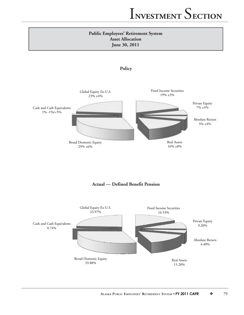



**Actual — Defined Benefit Pension**

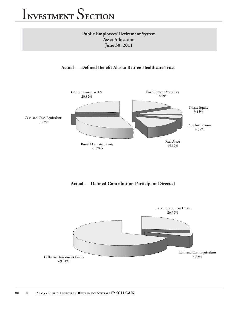## **Public Employees' Retirement System Asset Allocation June 30, 2011**





Actual — Defined Contribution Participant Directed

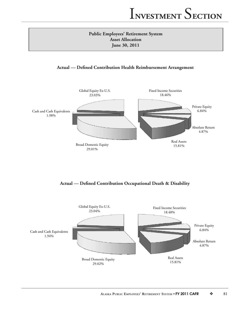## **Public Employees' Retirement System Asset Allocation June 30, 2011**

## **Actual — Defined Contribution Health Reimbursement Arrangement**



Actual — Defined Contribution Occupational Death & Disability

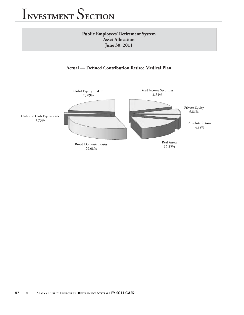## **Public Employees' Retirement System Asset Allocation June 30, 2011**

## Actual — Defined Contribution Retiree Medical Plan

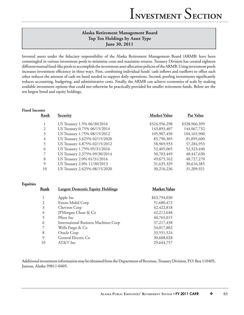## **Alaska Retirement Management Board Top Ten Holdings by Asset Type June 30, 2011**

Invested assets under the fiduciary responsibility of the Alaska Retirement Management Board (ARMB) have been commingled in various investment pools to minimize costs and maximize returns. Treasury Division has created eighteen different mutual fund-like pools to accomplish the investment asset allocation policies of the ARMB. Using investment pools increases investment efficiency in three ways. First, combining individual funds' cash inflows and outflows to offset each other reduces the amount of cash on hand needed to support daily operations. Second, pooling investments significantly reduces accounting, budgeting, and administrative costs. Finally, the ARMB can achieve economies of scale by making available investment options that could not otherwise be practically provided for smaller retirement funds. Below are the ten largest bond and equity holdings.

| <b>Fixed Income</b> |                |                                         |                     |               |
|---------------------|----------------|-----------------------------------------|---------------------|---------------|
|                     | Rank           | <b>Security</b>                         | <b>Market Value</b> | Par Value     |
|                     | 1              | US Treasury 1.5% 06/30/2016             | \$324,956,298       | \$328,966,399 |
|                     | $\overline{2}$ | US Treasury 0.75% 06/15/2014            | 143,893,407         | 144,067,732   |
|                     | $\overline{3}$ | US Treasury 1.75% 08/15/2012            | 105,907,450         | 104,165,900   |
|                     | $\overline{4}$ | US Treasury 3.625% 02/15/2020           | 85,790,305          | 81,095,600    |
|                     | 5              | US Treasury 4.875% 02/15/2012           | 58,969,933          | 57,284,953    |
|                     | 6              | US Treasury 1.75% 05/31/2016            | 52,405,065          | 52,323,440    |
|                     | 7              | US Treasury 2.375% 09/30/2014           | 50,703,449          | 48,447,630    |
|                     | 8              | US Treasury 2.0% 01/31/2016             | 49,675,162          | 48,727,270    |
|                     | 9              | US Treasury 2.0% 11/30/2013             | 31,635,329          | 30,616,385    |
|                     | 10             | US Treasury 2.625% 08/15/2020           | 30,210,236          | 31,209,921    |
| Equities            |                |                                         |                     |               |
|                     | Rank           | <b>Largest Domestic Equity Holdings</b> | <b>Market Value</b> |               |
|                     | 1              | Apple Inc                               | \$63,794,030        |               |
|                     | $\overline{2}$ | Exxon Mobil Corp                        | 51,680,472          |               |
|                     | 3              | Chevron Corp                            | 42, 422, 818        |               |
|                     | 4              | JPMorgan Chase & Co                     | 42,212,648          |               |
|                     | 5              | Pfizer Inc                              | 40,765,015          |               |
|                     | 6              | International Business Machines Corp    | 37,217,438          |               |
|                     | 7              | Wells Fargo & Co                        | 34,017,802          |               |
|                     | 8              | Oracle Corp                             | 33,551,524          |               |
|                     | 9              | General Electric Co                     | 30,608,028          |               |

Additional investment information may be obtained from the Department of Revenue, Treasury Division, P.O. Box 110405, Juneau, Alaska 99811-0405.

10 AT&T Inc 29,644,757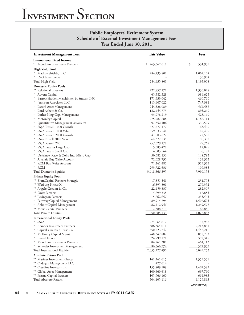## **Public Employees' Retirement System Schedule of External Investment Management Fees Year Ended June 30, 2011**

| <b>Investment Management Fees</b>                       | <b>Fair Value</b>        | <b>Fees</b>        |
|---------------------------------------------------------|--------------------------|--------------------|
| <b>International Fixed Income</b>                       |                          |                    |
| Mondrian Investment Partners                            | 263,662,011<br>\$        | \$<br>531,939      |
| <b>High Yield Pool</b>                                  |                          |                    |
| Mackay Shields, LLC                                     | 284, 435, 801            | 1,062,104          |
| <b>ING</b> Investments                                  |                          | 130,904            |
| Total High Yield                                        | 284, 435, 801            | 1,193,008          |
| <b>Domestic Equity Pools</b>                            |                          |                    |
| Relational Investors                                    | 222,857,171              | 1,330,028          |
| Advent Capital<br>$\ast$                                | 65,382,328               | 384,625            |
| Barrow, Hanley, Mewhinney & Strauss, INC<br>$\ast$      | 171,633,042              | 460,760            |
| $\ast$<br>Jennison Associates LLC                       | 115,407,022              | 747,384            |
| $\ast$<br>Lazard Asset Management                       | 244,528,089              | 564,486            |
| Lord Abbett & Co.                                       | 182, 454, 773            | 895,249            |
| Luther King Cap. Management                             | 93,978,219               | 423,160            |
| $\ast$<br>McKinley Capital                              | 275,787,888              | 1,188,114          |
| Quantitative Management Associates                      | 97,352,406               | 336,599            |
| SSgA Russell 1000 Growth                                | 427,777,177              | 63,460             |
| SSgA Russell 1000 Value                                 | 659, 533, 541            | 109,495            |
| SSgA Russell 2000 Growth                                | 41,803,827               | 22,580             |
| SSga Russell 2000 Value                                 | 64,377,738               | 96,397             |
| SSgA Russell 200                                        | 257,629,178              | 27,768             |
| SSgA Futures Large Cap                                  | 5,685,428                | 12,025             |
| SSgA Future Small Cap                                   | 4,503,564                | 6,199              |
| DePrince, Race & Zollo Inc.-Micro Cap                   | 50,682,156               | 148,793            |
| Analytic Buy Write Account                              | 72,028,730               | 134,323            |
| <b>RCM Buy Write Account</b>                            | 71,241,482               | 929,325            |
| $\ast$<br><b>RCM</b>                                    | 293,722,636              | 109,385            |
| <b>Total Domestic Equities</b>                          | 3,418,366,395            | 7,990,155          |
| <b>Private Equity Pool</b>                              |                          |                    |
| ** BlumCapital Partners-Strategic                       | 17,351,541               | 231,775            |
| ** Warburg Pincus X                                     | 16,395,801               | 279,352            |
| ** Angelo Gordon & Co.                                  | 22,459,837               | 282,307            |
| ** Onex Partners                                        | 4,299,338                | 117,855            |
| ** Lexington Partners                                   | 15,662,657               | 235,465            |
| Pathway Capital Management                              | 489,914,294              | 1,507,695          |
| $*$<br>Abbott Capital Management                        | 482,412,946              | 1,249,578          |
| ** Merit Capital Partners                               | 2,388,719                | 168,856            |
| Total Private Equities                                  | 1,050,885,133            | 4,072,883          |
| <b>International Equity Pools</b>                       |                          |                    |
| SSgA                                                    | 274,664,817              | 135,967            |
| <b>Brandes Investment Partners</b>                      | 586,364,011              | 2,213,881          |
| Capital Guardian Trust Co.                              | 450,223,247              | 1,452,216          |
| McKinley Capital Mgmt.                                  | 248,347,882              | 858,792            |
| Lazard Freres<br>Mondrian Investment Partners<br>$\ast$ | 324,799,171              | 399,345            |
| Schroder Investment Management<br>$\ast$                | 84,261,388<br>86,566,974 | 461,113<br>527,939 |
| Total International Equities                            | 2,055,227,490            | 6,049,253          |
|                                                         |                          |                    |
| <b>Absolute Return Pool</b>                             |                          |                    |
| ** Mariner Investment Group                             | 141,241,615              | 1,359,531          |
| ** Cadogan Management LLC                               | 427,614                  |                    |
| ** Crestline Investors Inc.                             | 155,809,109              | 1,407,589          |
| ** Global Asset Management                              | 100,660,618              | 697,790            |
| ** Prisma Capital Partners<br>Total Absolute Return     | <u>105,966,160</u>       | <u>664,983</u>     |
|                                                         | 504,105,116              | 4,129,893          |
|                                                         |                          | (continued)        |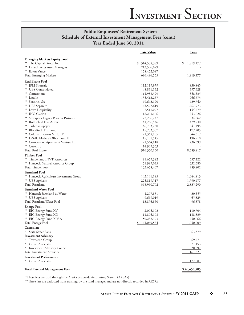## **Public Employees' Retirement System Schedule of External Investment Management Fees (cont.) Year Ended June 30, 2011**

|                                         | <u>Fair Value</u> | Fees            |
|-----------------------------------------|-------------------|-----------------|
| <b>Emerging Markets Equity Pool</b>     |                   |                 |
| ** The Capital Group Inc.               | \$<br>314,538,389 | \$<br>1,819,177 |
| ** Lazard Freres Asset Managers         | 213,506,079       |                 |
| ** Eaton Vance                          | 158,452,087       |                 |
| <b>Total Emerging Markets</b>           | 686,496,555       | 1,819,177       |
| <b>Real Estate Pool</b>                 |                   |                 |
| ** JPM Strategic                        | 112,119,979       | 839,845         |
| ** UBS Consolidated                     | 48,831,132        | 397,628         |
| ** Cornerstone                          | 114,988,529       | 858,535         |
| ** Lasalle                              | 135,412,257       | 966,673         |
| ** Sentinel, SA                         | 69,643,190        | 439,740         |
| ** UBS Separate                         | 165,597,619       | 1,267,973       |
| ** Lowe Hospitality                     | 2,511,077         | 154,779         |
| ** ING Clarion                          | 18,203,166        | 253,626         |
| ** Silverpeak Legacy Pension Partners   | 72,286,247        | 1,034,562       |
| ** Rothschild Five Arrows               | 41,266,546        | 479,730         |
| ** Tishman Speyer                       | 46,703,250        | 841,495         |
| ** BlackRock Diamond                    | 15,753,337        | 177,205         |
| ** Colony Investors VIII, L.P.          | 21,368,105        | 544,617         |
| ** LaSalle Medical Office Fund II       | 15,191,545        | 196,710         |
| ** Cornerstone Apartment Venture III    | 21,564,818        | 236,699         |
| ** Coventry                             | 14,909,363        |                 |
| Total Real Estate                       | 916,350,160       | 8,689,817       |
| <b>Timber Pool</b>                      |                   |                 |
| ** Timberland INVT Resources            | 81,659,382        | 657,222         |
| ** Hancock Natural Resource Group       | 51,999,025        | 332,580         |
| Total Timber Pool                       | 133,658,407       | 989,802         |
| <b>Farmland Pool</b>                    |                   |                 |
| ** Hancock Agriculture Investment Group | 143, 141, 185     | 1,044,813       |
| ** UBS Agrivest                         | 225,819,517       | 1,790,477       |
| Total Farmland                          | 368,960,702       | 2,835,290       |
| <b>Farmland Water Pool</b>              |                   |                 |
| ** Hancock Farmland & Water             | 4,207,831         | 30,555          |
| ** UBS Agrivest                         | 9,669,019         | 65,823          |
| Total Farmland Water Pool               | 13,876,850        | 96,378          |
| <b>Energy Pool</b>                      |                   |                 |
| ** EIG Energy Fund XV                   | 2,005,103         | 110,704         |
| ** EIG Energy Fund XD                   | 11,806,108        | 188,839         |
| ** EIG Energy Fund XIV-A                | 50,238,373        | 750,666         |
| <b>Total Energy Pool</b>                | 64,049,584        | 1,050,209       |
| Custodian                               |                   |                 |
| $\ast$<br>State Street Bank             |                   | 663,379         |
| <b>Investment Advisory</b>              |                   |                 |
| Townsend Group<br>$*$                   |                   | 69,771          |
| $\ast$<br>Callan Associates             |                   | 71,153          |
| * Investment Advisory Council           |                   | 20,597          |
| Total Investment Advisory               |                   | 161,521         |
| <b>Investment Performance</b>           |                   |                 |
| Callan Associates                       |                   | 177,881         |
|                                         |                   |                 |
| <b>Total External Management Fees</b>   |                   | \$40,450,585    |

\*These fees are paid through the Alaska Statewide Accounting System (AKSAS)

\*\*These fees are deducted from earnings by the fund manager and are not directly recorded in AKSAS.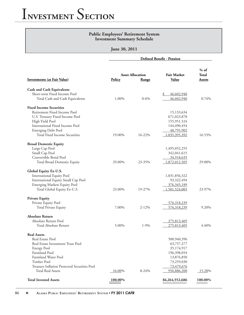### **Public Employees' Retirement System Investment Summary Schedule**

**June 30, 2011**

**Defined Benefit - Pension** 

|                                              |                     |                         |                    | $%$ of  |
|----------------------------------------------|---------------------|-------------------------|--------------------|---------|
|                                              |                     | <b>Asset Allocation</b> | <b>Fair Market</b> | Total   |
| <b>Investments (at Fair Value)</b>           | <b>Policy</b>       | <b>Range</b>            | <b>Value</b>       | Assets  |
| <b>Cash and Cash Equivalents</b>             |                     |                         |                    |         |
| Short-term Fixed Income Pool                 |                     |                         | 46,602,940<br>\$   |         |
| Total Cash and Cash Equivalents              | 1.00%               | $0 - 6\%$               | 46,602,940         | 0.74%   |
| <b>Fixed Income Securities</b>               |                     |                         |                    |         |
| Retirement Fixed Income Pool                 |                     |                         | 15,133,634         |         |
| U.S. Treasury Fixed Income Pool              |                     |                         | 671,023,878        |         |
| High Yield Pool                              |                     |                         | 155,951,524        |         |
| International Fixed Income Pool              |                     |                         | 144,490,454        |         |
| <b>Emerging Debt Pool</b>                    |                     |                         | 48,795,902         |         |
| Total Fixed Income Securities                | 19.00%              | 16-22%                  | 1,035,395,392      | 16.53%  |
| <b>Broad Domestic Equity</b>                 |                     |                         |                    |         |
| Large Cap Pool                               |                     |                         | 1,495,052,255      |         |
| Small Cap Pool                               |                     |                         | 342,041,615        |         |
| Convertible Bond Pool                        |                     |                         | 34,918,635         |         |
| Total Broad Domestic Equity                  | 29.00%              | 23-35%                  | 1,872,012,505      | 29.88%  |
| Global Equity Ex-U.S.                        |                     |                         |                    |         |
| <b>International Equity Pool</b>             |                     |                         | 1,031,856,322      |         |
| International Equity Small Cap Pool          |                     |                         | 93,322,494         |         |
| Emerging Markets Equity Pool                 |                     |                         | 376,345,189        |         |
| Total Global Equity Ex-U.S.                  | 23.00%              | 19-27%                  | 1,501,524,005      | 23.97%  |
| <b>Private Equity</b>                        |                     |                         |                    |         |
| Private Equity Pool                          |                     |                         | 576,318,239        |         |
| Total Private Equity                         | 7.00%               | $2 - 12%$               | 576,318,239        | 9.20%   |
| <b>Absolute Return</b>                       |                     |                         |                    |         |
| Absolute Return Pool                         |                     |                         | 275,813,405        |         |
| Total Absolute Return                        | 5.00%               | $1-9%$                  | 275,813,405        | 4.40%   |
| <b>Real Assets</b>                           |                     |                         |                    |         |
| Real Estate Pool                             |                     |                         | 500,940,396        |         |
| Real Estate Investment Trust Pool            |                     |                         | 63,757,277         |         |
| <b>Energy Pool</b>                           |                     |                         | 35,174,917         |         |
| Farmland Pool                                |                     |                         | 196,398,054        |         |
| Farmland Water Pool                          |                     |                         | 13,876,850         |         |
| Timber Pool                                  |                     |                         | 73,259,030         |         |
| Treasury Inflation Protected Securities Pool |                     |                         | 73,479,676         |         |
| <b>Total Real Assets</b>                     | 16.00%              | 8-24%                   | 956,886,200        | 15.28%  |
| <b>Total Invested Assets</b>                 | 100.00 <sup>%</sup> |                         | \$6,264,552,686    | 100.00% |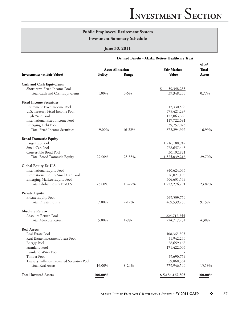## **Public Employees' Retirement System**

**Investment Summary Schedule**

### **June 30, 2011**

|                                              | Defined Benefit - Alaska Retiree Healthcare Trust |           |                    |                        |  |  |
|----------------------------------------------|---------------------------------------------------|-----------|--------------------|------------------------|--|--|
|                                              | <b>Asset Allocation</b>                           |           | <b>Fair Market</b> | $%$ of<br><b>Total</b> |  |  |
| <b>Investments (at Fair Value)</b>           | Policy                                            | Range     | Value              | Assets                 |  |  |
| <b>Cash and Cash Equivalents</b>             |                                                   |           |                    |                        |  |  |
| Short-term Fixed Income Pool                 |                                                   |           | 39,348,255<br>\$   |                        |  |  |
| Total Cash and Cash Equivalents              | 1.00%                                             | $0 - 6\%$ | 39,348,255         | 0.77%                  |  |  |
| <b>Fixed Income Securities</b>               |                                                   |           |                    |                        |  |  |
| Retirement Fixed Income Pool                 |                                                   |           | 12,330,568         |                        |  |  |
| U.S. Treasury Fixed Income Pool              |                                                   |           | 575,421,297        |                        |  |  |
| High Yield Pool                              |                                                   |           | 127,063,366        |                        |  |  |
| International Fixed Income Pool              |                                                   |           | 117,722,691        |                        |  |  |
| <b>Emerging Debt Pool</b>                    |                                                   |           | 39,757,075         |                        |  |  |
| Total Fixed Income Securities                | 19.00%                                            | 16-22%    | 872,294,997        | 16.99%                 |  |  |
| <b>Broad Domestic Equity</b>                 |                                                   |           |                    |                        |  |  |
| Large Cap Pool                               |                                                   |           | 1,216,188,947      |                        |  |  |
| Small Cap Pool                               |                                                   |           | 278, 657, 448      |                        |  |  |
| Convertible Bond Pool                        |                                                   |           | 30,192,821         |                        |  |  |
| Total Broad Domestic Equity                  | 29.00%                                            | 23-35%    | 1,525,039,216      | 29.70%                 |  |  |
| Global Equity Ex-U.S.                        |                                                   |           |                    |                        |  |  |
| <b>International Equity Pool</b>             |                                                   |           | 840,624,046        |                        |  |  |
| International Equity Small Cap Pool          |                                                   |           | 76,021,196         |                        |  |  |
| Emerging Markets Equity Pool                 |                                                   |           | 306,631,549        |                        |  |  |
| Total Global Equity Ex-U.S.                  | 23.00%                                            | 19-27%    | 1,223,276,791      | 23.82%                 |  |  |
| <b>Private Equity</b>                        |                                                   |           |                    |                        |  |  |
| Private Equity Pool                          |                                                   |           | 469,539,750        |                        |  |  |
| <b>Total Private Equity</b>                  | 7.00%                                             | $2 - 12%$ | 469,539,750        | 9.15%                  |  |  |
| <b>Absolute Return</b>                       |                                                   |           |                    |                        |  |  |
| Absolute Return Pool                         |                                                   |           | 224,717,254        |                        |  |  |
| Total Absolute Return                        | 5.00%                                             | $1-9%$    | 224,717,254        | 4.38%                  |  |  |
| <b>Real Assets</b>                           |                                                   |           |                    |                        |  |  |
| Real Estate Pool                             |                                                   |           | 408,363,805        |                        |  |  |
| Real Estate Investment Trust Pool            |                                                   |           | 51,942,240         |                        |  |  |
| <b>Energy Pool</b>                           |                                                   |           | 28,659,168         |                        |  |  |
| Farmland Pool                                |                                                   |           | 171,422,004        |                        |  |  |
| Farmland Water Pool                          |                                                   |           |                    |                        |  |  |
| Timber Pool                                  |                                                   |           | 59,690,759         |                        |  |  |
| Treasury Inflation Protected Securities Pool |                                                   |           | <u>59,868,564</u>  |                        |  |  |
| <b>Total Real Assets</b>                     | 16.00%                                            | 8-24%     | 779,946,540        | 15.19%                 |  |  |
| <b>Total Invested Assets</b>                 | 100.00%                                           |           | \$5,134,162,803    | 100.00%                |  |  |
|                                              |                                                   |           |                    |                        |  |  |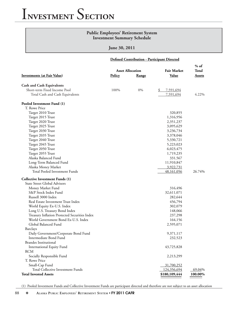| <b>Public Employees' Retirement System</b><br><b>Investment Summary Schedule</b>                                                                                                                                                                                                                                                                                                                                                                                                                                         |               |                                         |                                                                                                                                                                    |                                  |  |
|--------------------------------------------------------------------------------------------------------------------------------------------------------------------------------------------------------------------------------------------------------------------------------------------------------------------------------------------------------------------------------------------------------------------------------------------------------------------------------------------------------------------------|---------------|-----------------------------------------|--------------------------------------------------------------------------------------------------------------------------------------------------------------------|----------------------------------|--|
|                                                                                                                                                                                                                                                                                                                                                                                                                                                                                                                          | June 30, 2011 |                                         |                                                                                                                                                                    |                                  |  |
| Defined Contribution - Participant Directed                                                                                                                                                                                                                                                                                                                                                                                                                                                                              |               |                                         |                                                                                                                                                                    |                                  |  |
| <b>Investments (at Fair Value)</b>                                                                                                                                                                                                                                                                                                                                                                                                                                                                                       | <b>Policy</b> | <b>Asset Allocation</b><br><b>Range</b> | <b>Fair Market</b><br><b>Value</b>                                                                                                                                 | $%$ of<br>Total<br><b>Assets</b> |  |
|                                                                                                                                                                                                                                                                                                                                                                                                                                                                                                                          |               |                                         |                                                                                                                                                                    |                                  |  |
| <b>Cash and Cash Equivalents</b><br>Short-term Fixed Income Pool<br>Total Cash and Cash Equivalents                                                                                                                                                                                                                                                                                                                                                                                                                      | 100%          | 0%                                      | 7,591,694<br>\$<br>7,591,694                                                                                                                                       | 4.22%                            |  |
| Pooled Investment Fund (1)                                                                                                                                                                                                                                                                                                                                                                                                                                                                                               |               |                                         |                                                                                                                                                                    |                                  |  |
| T. Rowe Price<br>Target 2010 Trust<br>Target 2015 Trust<br>Target 2020 Trust<br>Target 2025 Trust<br>Target 2030 Trust<br>Target 2035 Trust<br>Target 2040 Trust<br>Target 2045 Trust<br>Target 2050 Trust<br>Target 2055 Trust<br>Alaska Balanced Fund<br>Long-Term Balanced Fund<br>Alaska Money Market                                                                                                                                                                                                                |               |                                         | 320,855<br>1,316,956<br>2,351,237<br>3,095,629<br>3,236,734<br>3,378,046<br>5,330,721<br>5,223,023<br>6,023,475<br>1,719,235<br>331,567<br>11,910,847<br>3,922,731 |                                  |  |
| Total Pooled Investment Funds<br><b>Collective Investment Funds (1)</b>                                                                                                                                                                                                                                                                                                                                                                                                                                                  |               |                                         | 48,161,056                                                                                                                                                         | 26.74%                           |  |
| <b>State Street Global Advisors</b><br>Money Market Fund<br>S&P Stock Index Fund<br>Russell 3000 Index<br>Real Estate Investment Trust Index<br>World Equity Ex-U.S. Index<br>Long U.S. Treasury Bond Index<br>Treasury Inflation Protected Securities Index<br>World Government Bond Ex-U.S. Index<br>Global Balanced Fund<br>Barclays<br>Daily Government/Corporate Bond Fund<br>Intermediate Bond Fund<br><b>Brandes Institutional</b><br><b>International Equity Fund</b><br><b>RCM</b><br>Socially Responsible Fund |               |                                         | 316,496<br>32,611,071<br>282,644<br>456,794<br>302,079<br>148,066<br>237,298<br>164,156<br>2,595,071<br>9,371,117<br>232,523<br>43,725,828<br>2,213,299            |                                  |  |
| T. Rowe Price<br>Small-Cap Fund<br>Total Collective Investment Funds<br><b>Total Invested Assets</b>                                                                                                                                                                                                                                                                                                                                                                                                                     |               |                                         | 31,700,252<br>124,356,694<br>\$180,109,444                                                                                                                         | 69.04%<br>100.00%                |  |

(1) Pooled Investment Funds and Collective Investment Funds are participant directed and therefore are not subject to an asset allocation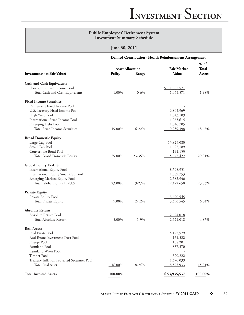### **Public Employees' Retirement System Investment Summary Schedule**

### **June 30, 2011**

|                                              |               | Defined Contribution - Health Reimbursement Arrangement |                    |                 |  |
|----------------------------------------------|---------------|---------------------------------------------------------|--------------------|-----------------|--|
|                                              |               | <b>Asset Allocation</b>                                 | <b>Fair Market</b> | $%$ of<br>Total |  |
| <b>Investments (at Fair Value)</b>           | <b>Policy</b> | Range                                                   | Value              | <b>Assets</b>   |  |
| <b>Cash and Cash Equivalents</b>             |               |                                                         |                    |                 |  |
| Short-term Fixed Income Pool                 |               |                                                         | 1,065,571          |                 |  |
| Total Cash and Cash Equivalents              | 1.00%         | $0 - 6\%$                                               | 1,065,571          | 1.98%           |  |
| <b>Fixed Income Securities</b>               |               |                                                         |                    |                 |  |
| Retirement Fixed Income Pool                 |               |                                                         |                    |                 |  |
| U.S. Treasury Fixed Income Pool              |               |                                                         | 6,805,969          |                 |  |
| High Yield Pool                              |               |                                                         | 1,043,109          |                 |  |
| International Fixed Income Pool              |               |                                                         | 1,063,615          |                 |  |
| <b>Emerging Debt Pool</b>                    |               |                                                         | 1,046,705          |                 |  |
| Total Fixed Income Securities                | 19.00%        | 16-22%                                                  | 9,959,398          | 18.46%          |  |
| <b>Broad Domestic Equity</b>                 |               |                                                         |                    |                 |  |
| Large Cap Pool                               |               |                                                         | 13,829,080         |                 |  |
| Small Cap Pool                               |               |                                                         | 1,627,189          |                 |  |
| Convertible Bond Pool                        |               |                                                         | <u>191,153</u>     |                 |  |
| Total Broad Domestic Equity                  | 29.00%        | 23-35%                                                  | 15,647,422         | 29.01%          |  |
| Global Equity Ex-U.S.                        |               |                                                         |                    |                 |  |
| International Equity Pool                    |               |                                                         | 8,748,951          |                 |  |
| International Equity Small Cap Pool          |               |                                                         | 1,089,753          |                 |  |
| Emerging Markets Equity Pool                 |               |                                                         | 2,583,946          |                 |  |
| Total Global Equity Ex-U.S.                  | 23.00%        | 19-27%                                                  | 12,422,650         | 23.03%          |  |
| <b>Private Equity</b>                        |               |                                                         |                    |                 |  |
| Private Equity Pool                          |               |                                                         | 3,690,545          |                 |  |
| Total Private Equity                         | 7.00%         | $2 - 12\%$                                              | 3,690,545          | 6.84%           |  |
| <b>Absolute Return</b>                       |               |                                                         |                    |                 |  |
| Absolute Return Pool                         |               |                                                         | 2,624,018          |                 |  |
| Total Absolute Return                        | 5.00%         | $1-9%$                                                  | 2,624,018          | 4.87%           |  |
| <b>Real Assets</b>                           |               |                                                         |                    |                 |  |
| Real Estate Pool                             |               |                                                         | 5,172,579          |                 |  |
| Real Estate Investment Trust Pool            |               |                                                         | 161,522            |                 |  |
| <b>Energy Pool</b>                           |               |                                                         | 158,201            |                 |  |
| Farmland Pool                                |               |                                                         | 837,370            |                 |  |
| Farmland Water Pool                          |               |                                                         |                    |                 |  |
| Timber Pool                                  |               |                                                         | 520,222            |                 |  |
| Treasury Inflation Protected Securities Pool |               |                                                         | 1,676,039          |                 |  |
| <b>Total Real Assets</b>                     | 16.00%        | 8-24%                                                   | 8,525,933          | 15.81%          |  |
| <b>Total Invested Assets</b>                 | 100.00%       |                                                         | \$53,935,537       | 100.00%         |  |
|                                              |               |                                                         |                    |                 |  |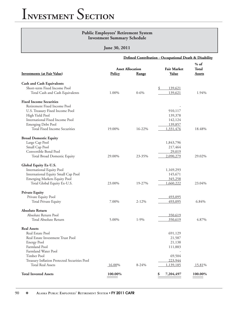### **Public Employees' Retirement System Investment Summary Schedule**

|                                              | Defined Contribution - Occupational Death & Disability |                         |                    |         |
|----------------------------------------------|--------------------------------------------------------|-------------------------|--------------------|---------|
|                                              |                                                        |                         |                    | $%$ of  |
|                                              |                                                        | <b>Asset Allocation</b> | <b>Fair Market</b> | Total   |
| <b>Investments (at Fair Value)</b>           | <b>Policy</b>                                          | Range                   | <b>Value</b>       | Assets  |
| <b>Cash and Cash Equivalents</b>             |                                                        |                         |                    |         |
| Short-term Fixed Income Pool                 |                                                        |                         | 139,621<br>\$      |         |
| Total Cash and Cash Equivalents              | 1.00%                                                  | $0 - 6\%$               | 139,621            | 1.94%   |
| <b>Fixed Income Securities</b>               |                                                        |                         |                    |         |
| Retirement Fixed Income Pool                 |                                                        |                         |                    |         |
| U.S. Treasury Fixed Income Pool              |                                                        |                         | 910,117            |         |
| High Yield Pool                              |                                                        |                         | 139,378            |         |
| International Fixed Income Pool              |                                                        |                         | 142,124            |         |
| <b>Emerging Debt Pool</b>                    |                                                        |                         | 139,857            |         |
| <b>Total Fixed Income Securities</b>         | 19.00%                                                 | 16-22%                  | 1,331,476          | 18.48%  |
| <b>Broad Domestic Equity</b>                 |                                                        |                         |                    |         |
| Large Cap Pool                               |                                                        |                         | 1,843,796          |         |
| Small Cap Pool                               |                                                        |                         | 217,464            |         |
| Convertible Bond Pool                        |                                                        |                         | 29,019             |         |
| Total Broad Domestic Equity                  | 29.00%                                                 | 23-35%                  | 2,090,279          | 29.02%  |
| Global Equity Ex-U.S.                        |                                                        |                         |                    |         |
| <b>International Equity Pool</b>             |                                                        |                         | 1,169,293          |         |
| International Equity Small Cap Pool          |                                                        |                         | 145,671            |         |
| Emerging Markets Equity Pool                 |                                                        |                         | 345,258            |         |
| Total Global Equity Ex-U.S.                  | 23.00%                                                 | 19-27%                  | 1,660,222          | 23.04%  |
| <b>Private Equity</b>                        |                                                        |                         |                    |         |
| Private Equity Pool                          |                                                        |                         | <u>493,095</u>     |         |
| Total Private Equity                         | 7.00%                                                  | $2 - 12%$               | 493,095            | 6.84%   |
| <b>Absolute Return</b>                       |                                                        |                         |                    |         |
| Absolute Return Pool                         |                                                        |                         | 350,619            |         |
| Total Absolute Return                        | 5.00%                                                  | $1-9%$                  | 350,619            | 4.87%   |
| <b>Real Assets</b>                           |                                                        |                         |                    |         |
| Real Estate Pool                             |                                                        |                         | 691,129            |         |
| Real Estate Investment Trust Pool            |                                                        |                         | 21,587             |         |
| <b>Energy Pool</b>                           |                                                        |                         | 21,138             |         |
| Farmland Pool                                |                                                        |                         | 111,883            |         |
| Farmland Water Pool                          |                                                        |                         |                    |         |
| Timber Pool                                  |                                                        |                         | 69,504             |         |
| Treasury Inflation Protected Securities Pool |                                                        |                         | 223,944            |         |
| <b>Total Real Assets</b>                     | 16.00%                                                 | 8-24%                   | 1,139,185          | 15.81%  |
| <b>Total Invested Assets</b>                 | 100.00%                                                |                         | 7,204,497          | 100.00% |
|                                              |                                                        |                         |                    |         |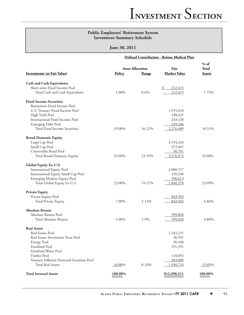### **Public Employees' Retirement System Investment Summary Schedule**

### **June 30, 2011**

|                                              |               |                                  | Defined Contribution - Retiree Medical Plan |                                  |
|----------------------------------------------|---------------|----------------------------------|---------------------------------------------|----------------------------------|
| <b>Investments (at Fair Value)</b>           | <b>Policy</b> | <b>Asset Allocation</b><br>Range | Fair<br><b>Market Value</b>                 | $%$ of<br>Total<br><b>Assets</b> |
| <b>Cash and Cash Equivalents</b>             |               |                                  |                                             |                                  |
| Short-term Fixed Income Pool                 |               |                                  | \$<br>212,415                               |                                  |
| Total Cash and Cash Equivalents              | 1.00%         | $0 - 6\%$                        | 212,415                                     | 1.73%                            |
| <b>Fixed Income Securities</b>               |               |                                  |                                             |                                  |
| Retirement Fixed Income Pool                 |               |                                  |                                             |                                  |
| U.S. Treasury Fixed Income Pool              |               |                                  | 1,555,610                                   |                                  |
| High Yield Pool                              |               |                                  | 238,425                                     |                                  |
| International Fixed Income Pool              |               |                                  | 243,128                                     |                                  |
| <b>Emerging Debt Pool</b>                    |               |                                  | 239,246                                     |                                  |
| Total Fixed Income Securities                | 19.00%        | 16-22%                           | 2,276,409                                   | 18.51%                           |
| <b>Broad Domestic Equity</b>                 |               |                                  |                                             |                                  |
| Large Cap Pool                               |               |                                  | 3,154,224                                   |                                  |
| Small Cap Pool                               |               |                                  | 372,047                                     |                                  |
| Convertible Bond Pool                        |               |                                  | 50,701                                      |                                  |
| Total Broad Domestic Equity                  | 29.00%        | 23-35%                           | 3,576,972                                   | 29.08%                           |
| Global Equity Ex-U.S.                        |               |                                  |                                             |                                  |
| International Equity Pool                    |               |                                  | 2,000,517                                   |                                  |
| International Equity Small Cap Pool          |               |                                  | 249,248                                     |                                  |
| <b>Emerging Markets Equity Pool</b>          |               |                                  | 590,613                                     |                                  |
| Total Global Equity Ex-U.S.                  | 23.00%        | 19-27%                           | 2,840,378                                   | 23.09%                           |
| <b>Private Equity</b>                        |               |                                  |                                             |                                  |
| Private Equity Pool                          |               |                                  | 843,503                                     |                                  |
| Total Private Equity                         | 7.00%         | $2 - 12\%$                       | 843,503                                     | 6.86%                            |
| <b>Absolute Return</b>                       |               |                                  |                                             |                                  |
| Absolute Return Pool                         |               |                                  | 599,820                                     |                                  |
| Total Absolute Return                        | 5.00%         | $1-9%$                           | 599,820                                     | 4.88%                            |
| <b>Real Assets</b>                           |               |                                  |                                             |                                  |
| Real Estate Pool                             |               |                                  | 1,182,251                                   |                                  |
| Real Estate Investment Trust Pool            |               |                                  | 36,931                                      |                                  |
| <b>Energy Pool</b>                           |               |                                  | 36,160                                      |                                  |
| Farmland Pool                                |               |                                  | 191,391                                     |                                  |
| Farmland Water Pool                          |               |                                  |                                             |                                  |
| Timber Pool                                  |               |                                  | 118,892                                     |                                  |
| Treasury Inflation Protected Securities Pool |               |                                  | 383,089                                     |                                  |
| <b>Total Real Assets</b>                     | $16.00\%$     | 8-24%                            | 1,948,714                                   | 15.85%                           |
| <b>Total Invested Assets</b>                 | 100.00%       |                                  | \$12,298,211                                | 100.00%                          |